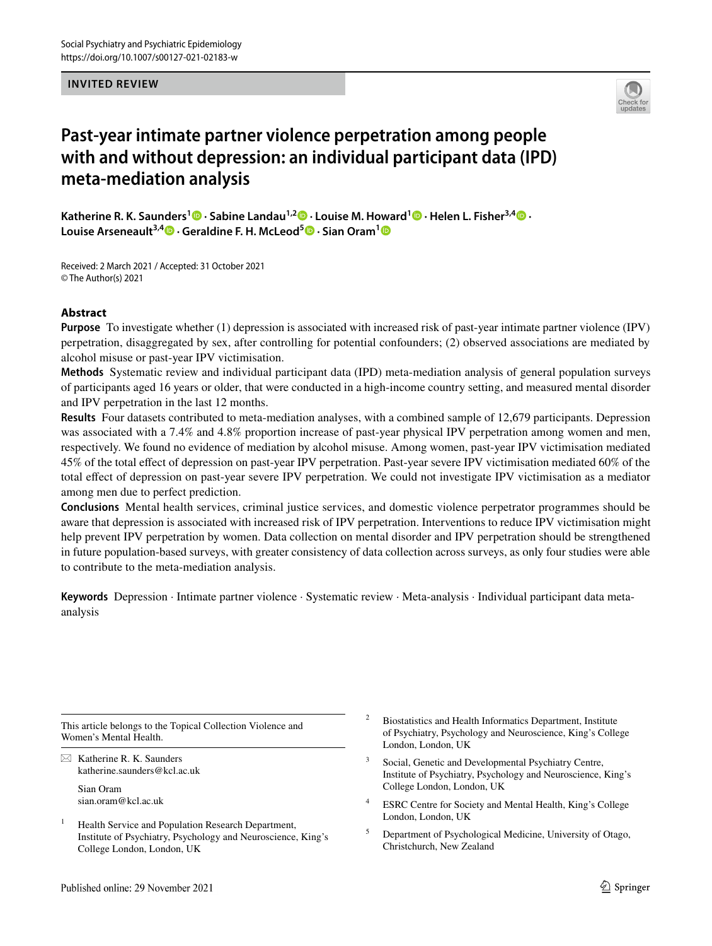#### **INVITED REVIEW**



# **Past‑year intimate partner violence perpetration among people with and without depression: an individual participant data (IPD) meta‑mediation analysis**

**KatherineR. K. Saunders<sup>1</sup>**  $\bullet$  **[·](http://orcid.org/0000-0002-8484-0888) Sabine Landau<sup>1,2</sup>**  $\bullet$  **· Louise M. Howard<sup>1</sup>**  $\bullet$  **· Helen L. Fisher<sup>3,[4](http://orcid.org/0000-0003-4174-2126)</sup>**  $\bullet$  **· Louise Arseneault3,4 · Geraldine F. H. McLeod5 · Sian Oram[1](http://orcid.org/0000-0001-8704-0379)**

Received: 2 March 2021 / Accepted: 31 October 2021 © The Author(s) 2021

# **Abstract**

**Purpose** To investigate whether (1) depression is associated with increased risk of past-year intimate partner violence (IPV) perpetration, disaggregated by sex, after controlling for potential confounders; (2) observed associations are mediated by alcohol misuse or past-year IPV victimisation.

**Methods** Systematic review and individual participant data (IPD) meta-mediation analysis of general population surveys of participants aged 16 years or older, that were conducted in a high-income country setting, and measured mental disorder and IPV perpetration in the last 12 months.

**Results** Four datasets contributed to meta-mediation analyses, with a combined sample of 12,679 participants. Depression was associated with a 7.4% and 4.8% proportion increase of past-year physical IPV perpetration among women and men, respectively. We found no evidence of mediation by alcohol misuse. Among women, past-year IPV victimisation mediated 45% of the total efect of depression on past-year IPV perpetration. Past-year severe IPV victimisation mediated 60% of the total efect of depression on past-year severe IPV perpetration. We could not investigate IPV victimisation as a mediator among men due to perfect prediction.

**Conclusions** Mental health services, criminal justice services, and domestic violence perpetrator programmes should be aware that depression is associated with increased risk of IPV perpetration. Interventions to reduce IPV victimisation might help prevent IPV perpetration by women. Data collection on mental disorder and IPV perpetration should be strengthened in future population-based surveys, with greater consistency of data collection across surveys, as only four studies were able to contribute to the meta-mediation analysis.

**Keywords** Depression · Intimate partner violence · Systematic review · Meta-analysis · Individual participant data metaanalysis

This article belongs to the Topical Collection Violence and Women's Mental Health.

 $\boxtimes$  Katherine R. K. Saunders katherine.saunders@kcl.ac.uk Sian Oram sian.oram@kcl.ac.uk

- <sup>1</sup> Health Service and Population Research Department, Institute of Psychiatry, Psychology and Neuroscience, King's College London, London, UK
- <sup>2</sup> Biostatistics and Health Informatics Department, Institute of Psychiatry, Psychology and Neuroscience, King's College London, London, UK
- <sup>3</sup> Social, Genetic and Developmental Psychiatry Centre, Institute of Psychiatry, Psychology and Neuroscience, King's College London, London, UK
- <sup>4</sup> ESRC Centre for Society and Mental Health, King's College London, London, UK
- <sup>5</sup> Department of Psychological Medicine, University of Otago, Christchurch, New Zealand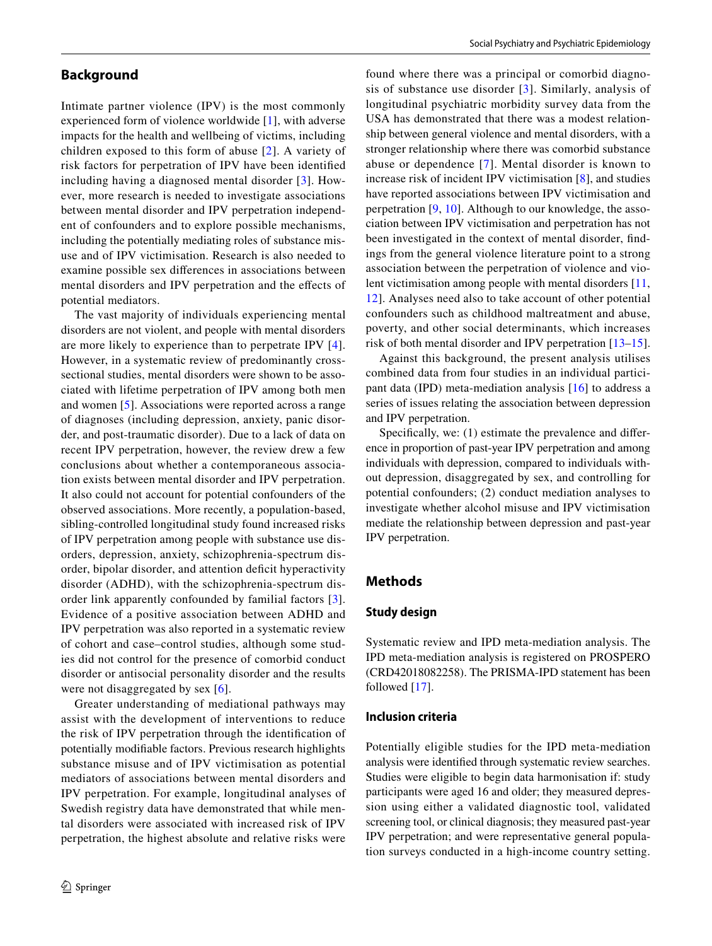# **Background**

Intimate partner violence (IPV) is the most commonly experienced form of violence worldwide [[1\]](#page-11-0), with adverse impacts for the health and wellbeing of victims, including children exposed to this form of abuse [[2\]](#page-11-1). A variety of risk factors for perpetration of IPV have been identifed including having a diagnosed mental disorder [[3\]](#page-11-2). However, more research is needed to investigate associations between mental disorder and IPV perpetration independent of confounders and to explore possible mechanisms, including the potentially mediating roles of substance misuse and of IPV victimisation. Research is also needed to examine possible sex diferences in associations between mental disorders and IPV perpetration and the efects of potential mediators.

The vast majority of individuals experiencing mental disorders are not violent, and people with mental disorders are more likely to experience than to perpetrate IPV [[4](#page-11-3)]. However, in a systematic review of predominantly crosssectional studies, mental disorders were shown to be associated with lifetime perpetration of IPV among both men and women [[5](#page-11-4)]. Associations were reported across a range of diagnoses (including depression, anxiety, panic disorder, and post-traumatic disorder). Due to a lack of data on recent IPV perpetration, however, the review drew a few conclusions about whether a contemporaneous association exists between mental disorder and IPV perpetration. It also could not account for potential confounders of the observed associations. More recently, a population-based, sibling-controlled longitudinal study found increased risks of IPV perpetration among people with substance use disorders, depression, anxiety, schizophrenia-spectrum disorder, bipolar disorder, and attention defcit hyperactivity disorder (ADHD), with the schizophrenia-spectrum disorder link apparently confounded by familial factors [[3](#page-11-2)]. Evidence of a positive association between ADHD and IPV perpetration was also reported in a systematic review of cohort and case–control studies, although some studies did not control for the presence of comorbid conduct disorder or antisocial personality disorder and the results were not disaggregated by sex [\[6\]](#page-11-5).

Greater understanding of mediational pathways may assist with the development of interventions to reduce the risk of IPV perpetration through the identifcation of potentially modifable factors. Previous research highlights substance misuse and of IPV victimisation as potential mediators of associations between mental disorders and IPV perpetration. For example, longitudinal analyses of Swedish registry data have demonstrated that while mental disorders were associated with increased risk of IPV perpetration, the highest absolute and relative risks were

found where there was a principal or comorbid diagnosis of substance use disorder [[3](#page-11-2)]. Similarly, analysis of longitudinal psychiatric morbidity survey data from the USA has demonstrated that there was a modest relationship between general violence and mental disorders, with a stronger relationship where there was comorbid substance abuse or dependence [[7\]](#page-11-6). Mental disorder is known to increase risk of incident IPV victimisation [\[8](#page-11-7)], and studies have reported associations between IPV victimisation and perpetration [[9](#page-11-8), [10](#page-11-9)]. Although to our knowledge, the association between IPV victimisation and perpetration has not been investigated in the context of mental disorder, fndings from the general violence literature point to a strong association between the perpetration of violence and violent victimisation among people with mental disorders [[11,](#page-11-10) [12\]](#page-11-11). Analyses need also to take account of other potential confounders such as childhood maltreatment and abuse, poverty, and other social determinants, which increases risk of both mental disorder and IPV perpetration [[13](#page-11-12)[–15](#page-11-13)].

Against this background, the present analysis utilises combined data from four studies in an individual participant data (IPD) meta-mediation analysis [[16](#page-11-14)] to address a series of issues relating the association between depression and IPV perpetration.

Specifically, we: (1) estimate the prevalence and difference in proportion of past-year IPV perpetration and among individuals with depression, compared to individuals without depression, disaggregated by sex, and controlling for potential confounders; (2) conduct mediation analyses to investigate whether alcohol misuse and IPV victimisation mediate the relationship between depression and past-year IPV perpetration.

# **Methods**

#### **Study design**

Systematic review and IPD meta-mediation analysis. The IPD meta-mediation analysis is registered on PROSPERO (CRD42018082258). The PRISMA-IPD statement has been followed [\[17](#page-11-15)].

#### **Inclusion criteria**

Potentially eligible studies for the IPD meta-mediation analysis were identifed through systematic review searches. Studies were eligible to begin data harmonisation if: study participants were aged 16 and older; they measured depression using either a validated diagnostic tool, validated screening tool, or clinical diagnosis; they measured past-year IPV perpetration; and were representative general population surveys conducted in a high-income country setting.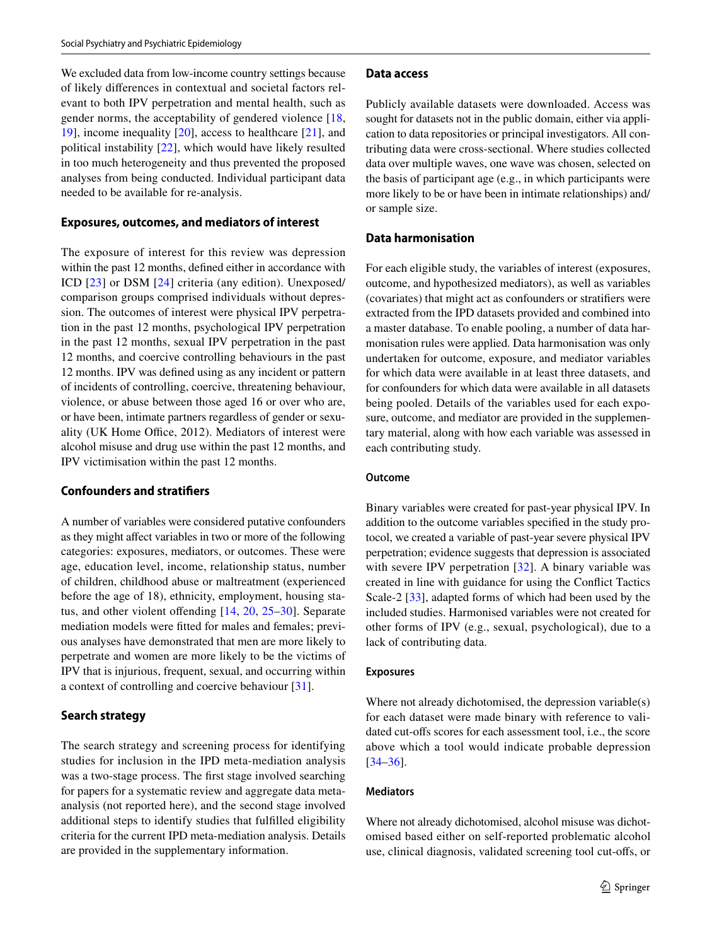We excluded data from low-income country settings because of likely diferences in contextual and societal factors relevant to both IPV perpetration and mental health, such as gender norms, the acceptability of gendered violence [\[18,](#page-11-16) [19](#page-11-17)], income inequality [\[20](#page-11-18)], access to healthcare [[21\]](#page-11-19), and political instability [[22\]](#page-11-20), which would have likely resulted in too much heterogeneity and thus prevented the proposed analyses from being conducted. Individual participant data needed to be available for re-analysis.

#### **Exposures, outcomes, and mediators of interest**

The exposure of interest for this review was depression within the past 12 months, defned either in accordance with ICD [[23](#page-11-21)] or DSM [[24](#page-11-22)] criteria (any edition). Unexposed/ comparison groups comprised individuals without depression. The outcomes of interest were physical IPV perpetration in the past 12 months, psychological IPV perpetration in the past 12 months, sexual IPV perpetration in the past 12 months, and coercive controlling behaviours in the past 12 months. IPV was defned using as any incident or pattern of incidents of controlling, coercive, threatening behaviour, violence, or abuse between those aged 16 or over who are, or have been, intimate partners regardless of gender or sexuality (UK Home Office, 2012). Mediators of interest were alcohol misuse and drug use within the past 12 months, and IPV victimisation within the past 12 months.

# **Confounders and stratifers**

A number of variables were considered putative confounders as they might afect variables in two or more of the following categories: exposures, mediators, or outcomes. These were age, education level, income, relationship status, number of children, childhood abuse or maltreatment (experienced before the age of 18), ethnicity, employment, housing status, and other violent offending  $[14, 20, 25-30]$  $[14, 20, 25-30]$  $[14, 20, 25-30]$  $[14, 20, 25-30]$  $[14, 20, 25-30]$  $[14, 20, 25-30]$  $[14, 20, 25-30]$ . Separate mediation models were ftted for males and females; previous analyses have demonstrated that men are more likely to perpetrate and women are more likely to be the victims of IPV that is injurious, frequent, sexual, and occurring within a context of controlling and coercive behaviour [[31](#page-11-26)].

#### **Search strategy**

The search strategy and screening process for identifying studies for inclusion in the IPD meta-mediation analysis was a two-stage process. The frst stage involved searching for papers for a systematic review and aggregate data metaanalysis (not reported here), and the second stage involved additional steps to identify studies that fulflled eligibility criteria for the current IPD meta-mediation analysis. Details are provided in the supplementary information.

#### **Data access**

Publicly available datasets were downloaded. Access was sought for datasets not in the public domain, either via application to data repositories or principal investigators. All contributing data were cross-sectional. Where studies collected data over multiple waves, one wave was chosen, selected on the basis of participant age (e.g., in which participants were more likely to be or have been in intimate relationships) and/ or sample size.

#### **Data harmonisation**

For each eligible study, the variables of interest (exposures, outcome, and hypothesized mediators), as well as variables (covariates) that might act as confounders or stratifers were extracted from the IPD datasets provided and combined into a master database. To enable pooling, a number of data harmonisation rules were applied. Data harmonisation was only undertaken for outcome, exposure, and mediator variables for which data were available in at least three datasets, and for confounders for which data were available in all datasets being pooled. Details of the variables used for each exposure, outcome, and mediator are provided in the supplementary material, along with how each variable was assessed in each contributing study.

#### **Outcome**

Binary variables were created for past-year physical IPV. In addition to the outcome variables specifed in the study protocol, we created a variable of past-year severe physical IPV perpetration; evidence suggests that depression is associated with severe IPV perpetration [[32](#page-11-27)]. A binary variable was created in line with guidance for using the Confict Tactics Scale-2 [\[33\]](#page-12-0), adapted forms of which had been used by the included studies. Harmonised variables were not created for other forms of IPV (e.g., sexual, psychological), due to a lack of contributing data.

#### **Exposures**

Where not already dichotomised, the depression variable(s) for each dataset were made binary with reference to validated cut-ofs scores for each assessment tool, i.e., the score above which a tool would indicate probable depression [[34–](#page-12-1)[36\]](#page-12-2).

#### **Mediators**

Where not already dichotomised, alcohol misuse was dichotomised based either on self-reported problematic alcohol use, clinical diagnosis, validated screening tool cut-ofs, or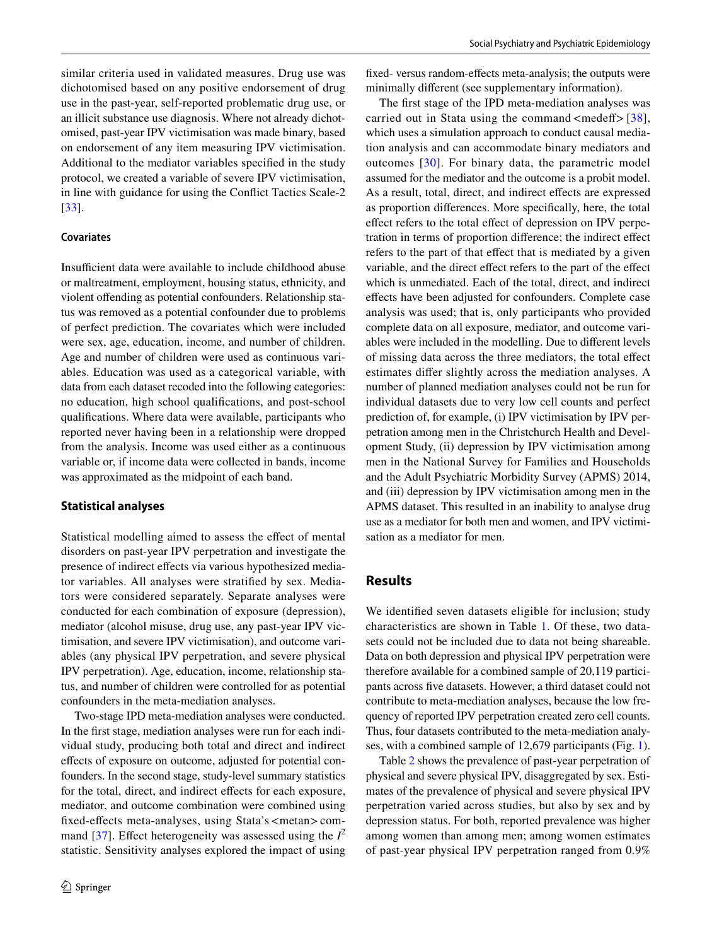similar criteria used in validated measures. Drug use was dichotomised based on any positive endorsement of drug use in the past-year, self-reported problematic drug use, or an illicit substance use diagnosis. Where not already dichotomised, past-year IPV victimisation was made binary, based on endorsement of any item measuring IPV victimisation. Additional to the mediator variables specifed in the study protocol, we created a variable of severe IPV victimisation, in line with guidance for using the Confict Tactics Scale-2 [\[33\]](#page-12-0).

#### **Covariates**

Insufficient data were available to include childhood abuse or maltreatment, employment, housing status, ethnicity, and violent offending as potential confounders. Relationship status was removed as a potential confounder due to problems of perfect prediction. The covariates which were included were sex, age, education, income, and number of children. Age and number of children were used as continuous variables. Education was used as a categorical variable, with data from each dataset recoded into the following categories: no education, high school qualifcations, and post-school qualifcations. Where data were available, participants who reported never having been in a relationship were dropped from the analysis. Income was used either as a continuous variable or, if income data were collected in bands, income was approximated as the midpoint of each band.

#### **Statistical analyses**

Statistical modelling aimed to assess the effect of mental disorders on past-year IPV perpetration and investigate the presence of indirect efects via various hypothesized mediator variables. All analyses were stratifed by sex. Mediators were considered separately. Separate analyses were conducted for each combination of exposure (depression), mediator (alcohol misuse, drug use, any past-year IPV victimisation, and severe IPV victimisation), and outcome variables (any physical IPV perpetration, and severe physical IPV perpetration). Age, education, income, relationship status, and number of children were controlled for as potential confounders in the meta-mediation analyses.

Two-stage IPD meta-mediation analyses were conducted. In the frst stage, mediation analyses were run for each individual study, producing both total and direct and indirect efects of exposure on outcome, adjusted for potential confounders. In the second stage, study-level summary statistics for the total, direct, and indirect effects for each exposure, mediator, and outcome combination were combined using fxed-efects meta-analyses, using Stata's<metan>com-mand [[37](#page-12-3)]. Effect heterogeneity was assessed using the  $I^2$ statistic. Sensitivity analyses explored the impact of using fxed- versus random-efects meta-analysis; the outputs were minimally diferent (see supplementary information).

The frst stage of the IPD meta-mediation analyses was carried out in Stata using the command  $\langle$  medeff $>$  [[38](#page-12-4)], which uses a simulation approach to conduct causal mediation analysis and can accommodate binary mediators and outcomes [[30](#page-11-25)]. For binary data, the parametric model assumed for the mediator and the outcome is a probit model. As a result, total, direct, and indirect efects are expressed as proportion diferences. More specifcally, here, the total efect refers to the total efect of depression on IPV perpetration in terms of proportion diference; the indirect efect refers to the part of that efect that is mediated by a given variable, and the direct efect refers to the part of the efect which is unmediated. Each of the total, direct, and indirect efects have been adjusted for confounders. Complete case analysis was used; that is, only participants who provided complete data on all exposure, mediator, and outcome variables were included in the modelling. Due to diferent levels of missing data across the three mediators, the total efect estimates difer slightly across the mediation analyses. A number of planned mediation analyses could not be run for individual datasets due to very low cell counts and perfect prediction of, for example, (i) IPV victimisation by IPV perpetration among men in the Christchurch Health and Development Study, (ii) depression by IPV victimisation among men in the National Survey for Families and Households and the Adult Psychiatric Morbidity Survey (APMS) 2014, and (iii) depression by IPV victimisation among men in the APMS dataset. This resulted in an inability to analyse drug use as a mediator for both men and women, and IPV victimisation as a mediator for men.

# **Results**

We identifed seven datasets eligible for inclusion; study characteristics are shown in Table [1.](#page-4-0) Of these, two datasets could not be included due to data not being shareable. Data on both depression and physical IPV perpetration were therefore available for a combined sample of 20,119 participants across fve datasets. However, a third dataset could not contribute to meta-mediation analyses, because the low frequency of reported IPV perpetration created zero cell counts. Thus, four datasets contributed to the meta-mediation analyses, with a combined sample of 12,679 participants (Fig. [1](#page-5-0)).

Table [2](#page-6-0) shows the prevalence of past-year perpetration of physical and severe physical IPV, disaggregated by sex. Estimates of the prevalence of physical and severe physical IPV perpetration varied across studies, but also by sex and by depression status. For both, reported prevalence was higher among women than among men; among women estimates of past-year physical IPV perpetration ranged from 0.9%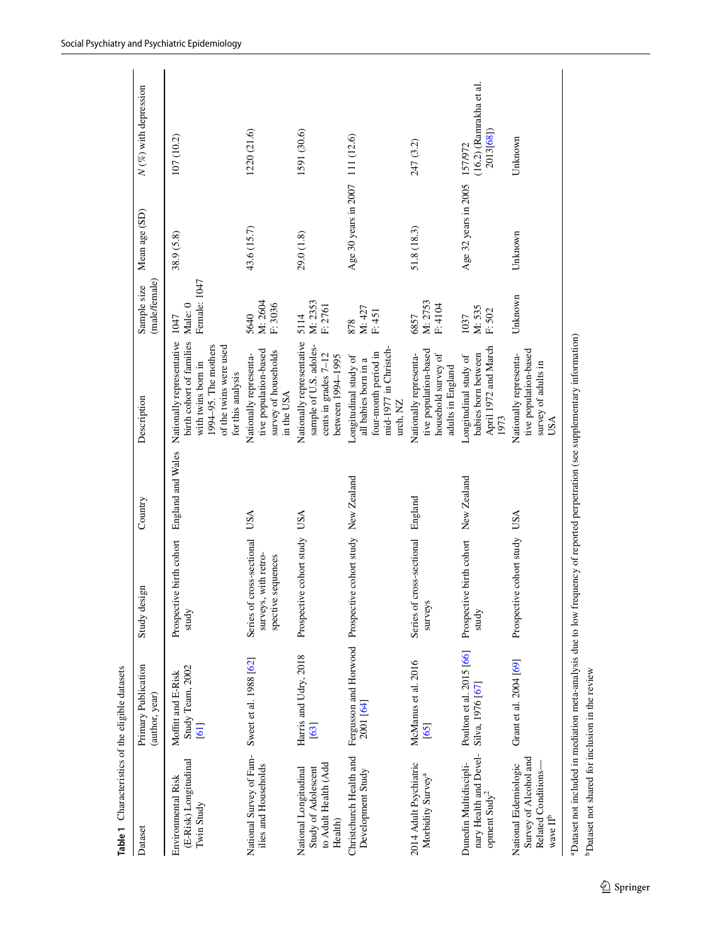| Dataset                                                                                        | Primary Publication<br>(author, year)          | Study design                                                            | Country     | Description                                                                                                                                        | (male/female)<br>Sample size    | Mean age (SD)                   | $N$ (%) with depression                          |
|------------------------------------------------------------------------------------------------|------------------------------------------------|-------------------------------------------------------------------------|-------------|----------------------------------------------------------------------------------------------------------------------------------------------------|---------------------------------|---------------------------------|--------------------------------------------------|
| (E-Risk) Longitudinal<br>Environmental Risk<br>Twin Study                                      | Study Team, 2002<br>Moffitt and E-Risk<br>[61] | Prospective birth cohort England and Wales<br>study                     |             | birth cohort of families<br>Nationally representative<br>1994-95. The mothers<br>of the twins were used<br>with twins born in<br>for this analysis | Female: 1047<br>Male: 0<br>1047 | 38.9 (5.8)                      | 107 (10.2)                                       |
| National Survey of Fam-<br>ilies and Households                                                | Sweet et al. 1988 [62]                         | Series of cross-sectional<br>surveys, with retro-<br>spective sequences | USA         | survey of households<br>tive population-based<br>Nationally representa-<br>in the USA                                                              | M: 2604<br>F: 3036<br>5640      | 43.6 (15.7)                     | 1220 (21.6)                                      |
| to Adult Health (Add<br>Study of Adolescent<br>National Longitudinal<br>Health)                | Harris and Udry, 2018<br>[63]                  | Prospective cohort study USA                                            |             | Nationally representative<br>sample of U.S. adoles-<br>cents in grades 7-12<br>between 1994-1995                                                   | M: 2353<br>F: 2761<br>5114      | 29.0 (1.8)                      | 1591 (30.6)                                      |
| Christchurch Health and<br>Development Study                                                   | 2001 [64]                                      | Fergusson and Horwood Prospective cohort study New Zealand              |             | mid-1977 in Christch-<br>four-month period in<br>Longitudinal study of<br>all babies born in a<br>urch, NZ                                         | M: 427<br>F: 451<br>878         | Age 30 years in 2007 111 (12.6) |                                                  |
| 2014 Adult Psychiatric<br>Morbidity Survey <sup>a</sup>                                        | McManus et al. 2016<br>[65]                    | Series of cross-sectional England<br>surveys                            |             | tive population-based<br>Nationally representa-<br>household survey of<br>adults in England                                                        | M: 2753<br>F: 4104<br>6857      | 51.8 (18.3)                     | 247 (3.2)                                        |
| nary Health and Devel-<br>opment Sudy <sup>2</sup><br>Dunedin Multidiscipli-                   | Poulton et al. 2015 [66]<br>Silva, 1976 [67]   | Prospective birth cohort<br>study                                       | New Zealand | April 1972 and March<br>babies born between<br>Longitudinal study of<br>1973                                                                       | M: 535<br>F: 502<br>1037        | Age 32 years in 2005            | $(16.2)$ (Ramrakha et al.<br>2013[68]<br>157/972 |
| Survey of Alcohol and<br>National Eidemiologic<br>Related Conditions-<br>wave $\Pi^{\text{b}}$ | Grant et al. 2004 [69]                         | Prospective cohort study USA                                            |             | tive population-based<br>Nationally representa-<br>survey of adults in<br>USA                                                                      | Unknown                         | Unknown                         | Unknown                                          |
|                                                                                                |                                                |                                                                         |             |                                                                                                                                                    |                                 |                                 |                                                  |

<span id="page-4-0"></span><sup>a</sup>Dataset not included in mediation meta-analysis due to low frequency of reported perpetration (see supplementary information) aDataset not included in mediation meta-analysis due to low frequency of reported perpetration (see supplementary information) <sup>b</sup>Dataset not shared for inclusion in the review bDataset not shared for inclusion in the review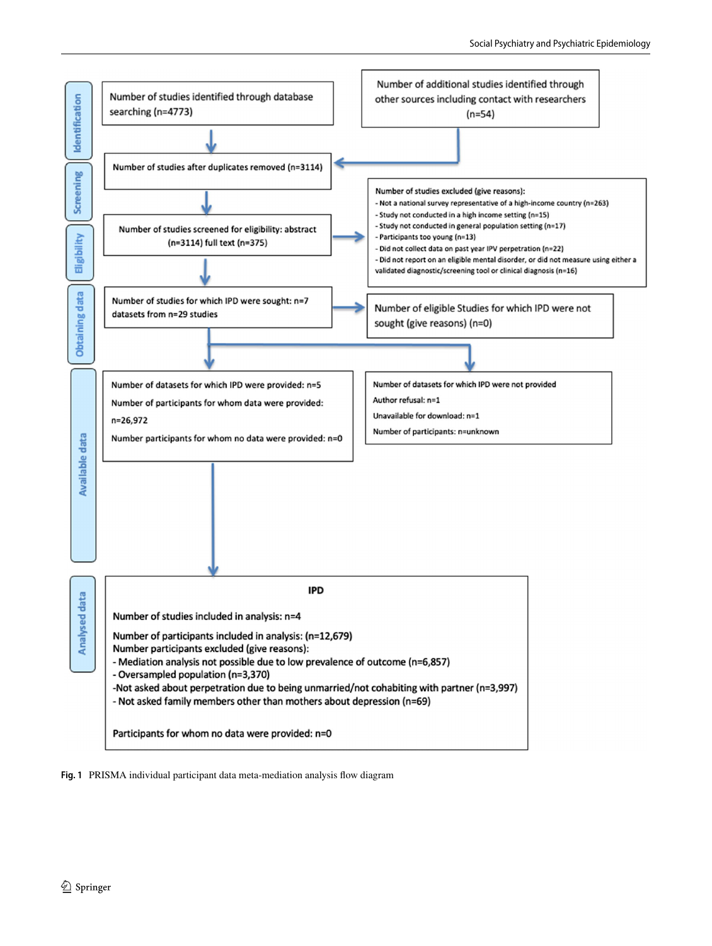

<span id="page-5-0"></span>**Fig. 1** PRISMA individual participant data meta-mediation analysis fow diagram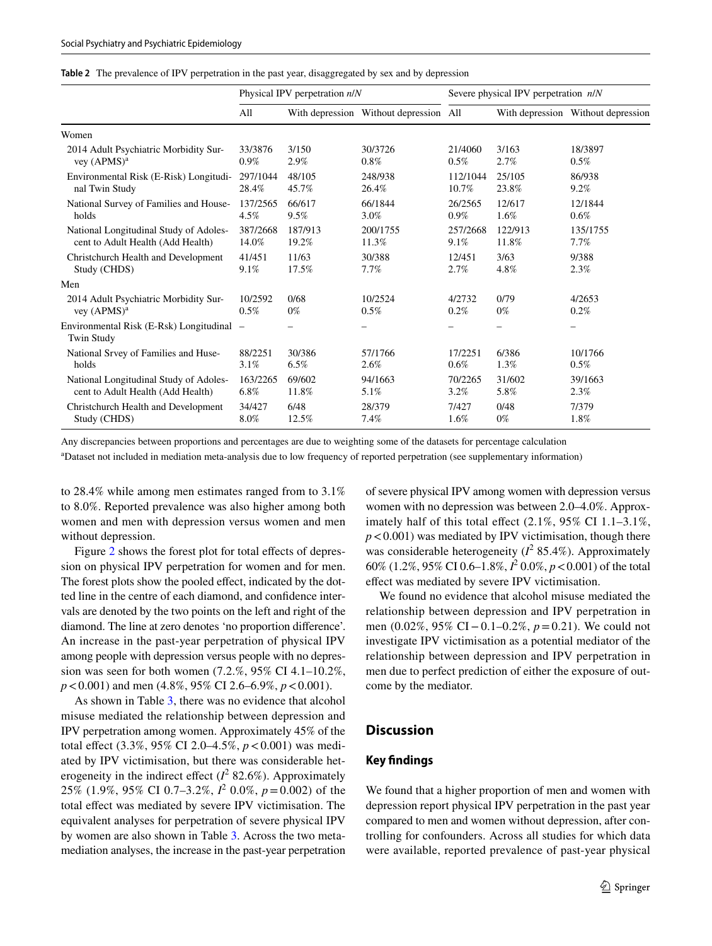<span id="page-6-0"></span>

|  | Table 2 The prevalence of IPV perpetration in the past year, disaggregated by sex and by depression |  |  |  |  |  |
|--|-----------------------------------------------------------------------------------------------------|--|--|--|--|--|
|--|-----------------------------------------------------------------------------------------------------|--|--|--|--|--|

|                                                                | Physical IPV perpetration $n/N$ |                          | Severe physical IPV perpetration $n/N$ |                          |                          |                                    |
|----------------------------------------------------------------|---------------------------------|--------------------------|----------------------------------------|--------------------------|--------------------------|------------------------------------|
|                                                                | All                             |                          | With depression Without depression All |                          |                          | With depression Without depression |
| Women                                                          |                                 |                          |                                        |                          |                          |                                    |
| 2014 Adult Psychiatric Morbidity Sur-                          | 33/3876                         | 3/150                    | 30/3726                                | 21/4060                  | 3/163                    | 18/3897                            |
| vey $(APMS)^a$                                                 | $0.9\%$                         | 2.9%                     | $0.8\%$                                | 0.5%                     | 2.7%                     | $0.5\%$                            |
| Environmental Risk (E-Risk) Longitudi-                         | 297/1044                        | 48/105                   | 248/938                                | 112/1044                 | 25/105                   | 86/938                             |
| nal Twin Study                                                 | 28.4%                           | 45.7%                    | 26.4%                                  | 10.7%                    | 23.8%                    | 9.2%                               |
| National Survey of Families and House-                         | 137/2565                        | 66/617                   | 66/1844                                | 26/2565                  | 12/617                   | 12/1844                            |
| holds                                                          | 4.5%                            | 9.5%                     | 3.0%                                   | 0.9%                     | 1.6%                     | 0.6%                               |
| National Longitudinal Study of Adoles-                         | 387/2668                        | 187/913                  | 200/1755                               | 257/2668                 | 122/913                  | 135/1755                           |
| cent to Adult Health (Add Health)                              | 14.0%                           | 19.2%                    | 11.3%                                  | 9.1%                     | 11.8%                    | 7.7%                               |
| Christchurch Health and Development                            | 41/451                          | 11/63                    | 30/388                                 | 12/451                   | 3/63                     | 9/388                              |
| Study (CHDS)                                                   | 9.1%                            | 17.5%                    | $7.7\%$                                | 2.7%                     | 4.8%                     | 2.3%                               |
| Men                                                            |                                 |                          |                                        |                          |                          |                                    |
| 2014 Adult Psychiatric Morbidity Sur-                          | 10/2592                         | 0/68                     | 10/2524                                | 4/2732                   | 0/79                     | 4/2653                             |
| vey $(APMS)^a$                                                 | 0.5%                            | $0\%$                    | $0.5\%$                                | $0.2\%$                  | $0\%$                    | $0.2\%$                            |
| Environmental Risk (E-Rsk) Longitudinal –<br><b>Twin Study</b> |                                 | $\overline{\phantom{0}}$ | -                                      | $\overline{\phantom{0}}$ | $\overline{\phantom{0}}$ | -                                  |
| National Srvey of Families and Huse-                           | 88/2251                         | 30/386                   | 57/1766                                | 17/2251                  | 6/386                    | 10/1766                            |
| holds                                                          | 3.1%                            | 6.5%                     | 2.6%                                   | 0.6%                     | 1.3%                     | 0.5%                               |
| National Longitudinal Study of Adoles-                         | 163/2265                        | 69/602                   | 94/1663                                | 70/2265                  | 31/602                   | 39/1663                            |
| cent to Adult Health (Add Health)                              | 6.8%                            | 11.8%                    | 5.1%                                   | 3.2%                     | 5.8%                     | 2.3%                               |
| Christchurch Health and Development                            | 34/427                          | 6/48                     | 28/379                                 | 7/427                    | 0/48                     | 7/379                              |
| Study (CHDS)                                                   | 8.0%                            | 12.5%                    | 7.4%                                   | 1.6%                     | $0\%$                    | 1.8%                               |

Any discrepancies between proportions and percentages are due to weighting some of the datasets for percentage calculation

a Dataset not included in mediation meta-analysis due to low frequency of reported perpetration (see supplementary information)

to 28.4% while among men estimates ranged from to 3.1% to 8.0%. Reported prevalence was also higher among both women and men with depression versus women and men without depression.

Figure [2](#page-7-0) shows the forest plot for total effects of depression on physical IPV perpetration for women and for men. The forest plots show the pooled effect, indicated by the dotted line in the centre of each diamond, and confdence intervals are denoted by the two points on the left and right of the diamond. The line at zero denotes 'no proportion diference'. An increase in the past-year perpetration of physical IPV among people with depression versus people with no depression was seen for both women (7.2.%, 95% CI 4.1–10.2%, *p*<0.001) and men (4.8%, 95% CI 2.6–6.9%, *p*<0.001).

As shown in Table [3](#page-8-0), there was no evidence that alcohol misuse mediated the relationship between depression and IPV perpetration among women. Approximately 45% of the total effect (3.3%, 95% CI 2.0–4.5%,  $p < 0.001$ ) was mediated by IPV victimisation, but there was considerable heterogeneity in the indirect effect  $(I^2 82.6\%)$ . Approximately 25% (1.9%, 95% CI 0.7–3.2%, *I* 2 0.0%, *p*=0.002) of the total effect was mediated by severe IPV victimisation. The equivalent analyses for perpetration of severe physical IPV by women are also shown in Table [3](#page-8-0). Across the two metamediation analyses, the increase in the past-year perpetration

of severe physical IPV among women with depression versus women with no depression was between 2.0–4.0%. Approximately half of this total efect (2.1%, 95% CI 1.1–3.1%,  $p < 0.001$ ) was mediated by IPV victimisation, though there was considerable heterogeneity  $(I^2 85.4\%)$ . Approximately 60% (1.2%, 95% CI 0.6–1.8%, *I* 2 0.0%, *p*<0.001) of the total efect was mediated by severe IPV victimisation.

We found no evidence that alcohol misuse mediated the relationship between depression and IPV perpetration in men (0.02%, 95% CI−0.1–0.2%, *p*=0.21). We could not investigate IPV victimisation as a potential mediator of the relationship between depression and IPV perpetration in men due to perfect prediction of either the exposure of outcome by the mediator.

# **Discussion**

#### **Key fndings**

We found that a higher proportion of men and women with depression report physical IPV perpetration in the past year compared to men and women without depression, after controlling for confounders. Across all studies for which data were available, reported prevalence of past-year physical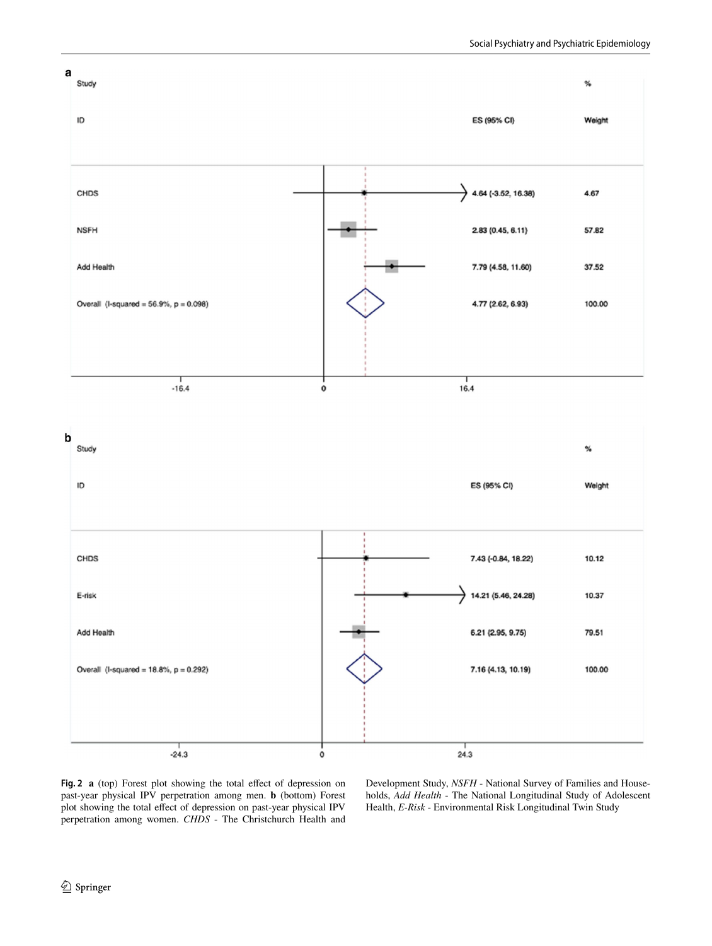

<span id="page-7-0"></span>Fig. 2 **a** (top) Forest plot showing the total effect of depression on past-year physical IPV perpetration among men. **b** (bottom) Forest plot showing the total efect of depression on past-year physical IPV perpetration among women. *CHDS* - The Christchurch Health and

Development Study, *NSFH* - National Survey of Families and Households, *Add Health* - The National Longitudinal Study of Adolescent Health, *E-Risk* - Environmental Risk Longitudinal Twin Study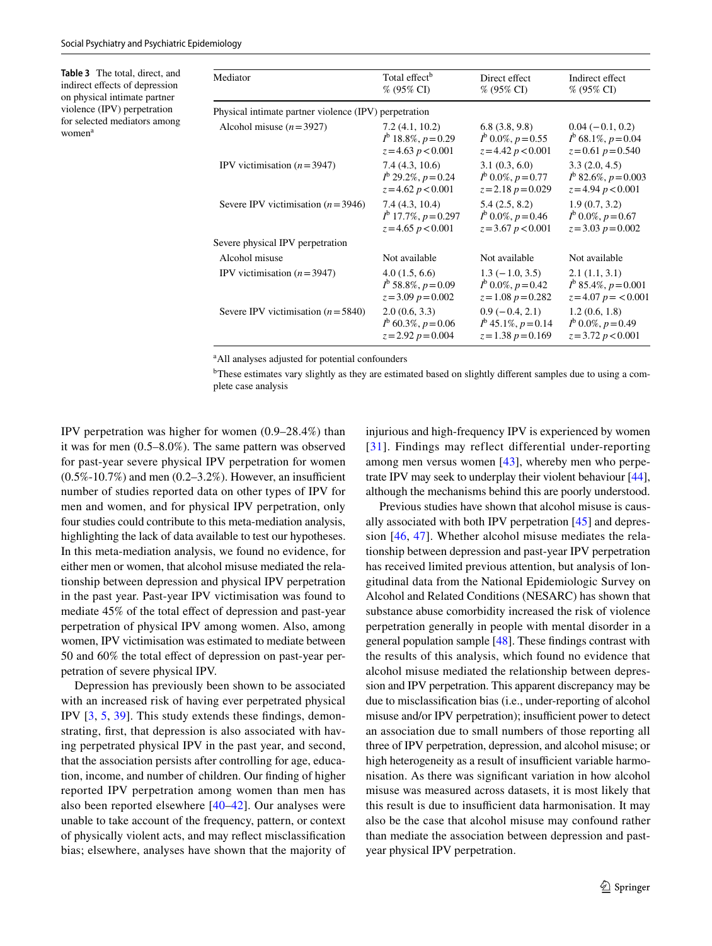<span id="page-8-0"></span>**Table 3** The total, direct, and indirect efects of depression on physical intimate partner violence (IPV) perpetration for selected mediators among women<sup>a</sup>

| Mediator                                              | Total effect <sup>b</sup>      | Direct effect                | Indirect effect                |
|-------------------------------------------------------|--------------------------------|------------------------------|--------------------------------|
|                                                       | % (95% CI)                     | $% (95\% CI)$                | $% (95\% CI)$                  |
| Physical intimate partner violence (IPV) perpetration |                                |                              |                                |
| Alcohol misuse $(n=3927)$                             | 7.2(4.1, 10.2)                 | 6.8(3.8, 9.8)                | $0.04 (-0.1, 0.2)$             |
|                                                       | $I^{\rm b}$ 18.8%, $p=0.29$    | $I^{\rm b}$ 0.0%, $p=0.55$   | $I^{\rm b}$ 68.1\%, $p = 0.04$ |
|                                                       | $z = 4.63 p < 0.001$           | $z = 4.42 p < 0.001$         | $z=0.61 p=0.540$               |
| IPV victimisation $(n=3947)$                          | 7.4(4.3, 10.6)                 | 3.1(0.3, 6.0)                | 3.3(2.0, 4.5)                  |
|                                                       | $I^{\rm b}$ 29.2%, $p=0.24$    | $I^{\rm b}$ 0.0%, $p=0.77$   | $I^{\rm b}$ 82.6%, $p = 0.003$ |
|                                                       | $z = 4.62 p < 0.001$           | $z = 2.18 p = 0.029$         | $z = 4.94 p < 0.001$           |
| Severe IPV victimisation $(n=3946)$                   | 7.4(4.3, 10.4)                 | 5.4(2.5, 8.2)                | 1.9(0.7, 3.2)                  |
|                                                       | $I^{\rm b}$ 17.7%, $p = 0.297$ | $I^{\rm b}$ 0.0%, $p = 0.46$ | $I^{\rm b}$ 0.0%, $p = 0.67$   |
|                                                       | $z = 4.65 p < 0.001$           | $z = 3.67 p < 0.001$         | $z = 3.03 p = 0.002$           |
| Severe physical IPV perpetration                      |                                |                              |                                |
| Alcohol misuse                                        | Not available                  | Not available                | Not available                  |
| IPV victimisation $(n=3947)$                          | 4.0(1.5, 6.6)                  | $1.3(-1.0, 3.5)$             | 2.1(1.1, 3.1)                  |
|                                                       | $I^{\rm b}$ 58.8%, $p=0.09$    | $I^{\rm b}$ 0.0%, $p = 0.42$ | $I^{\rm b}$ 85.4%, $p = 0.001$ |
|                                                       | $z = 3.09 p = 0.002$           | $z=1.08 p=0.282$             | $z=4.07 p = 0.001$             |
| Severe IPV victimisation $(n=5840)$                   | 2.0(0.6, 3.3)                  | $0.9(-0.4, 2.1)$             | 1.2(0.6, 1.8)                  |
|                                                       | $I^{\rm b}$ 60.3%, $p = 0.06$  | $I^{\rm b}$ 45.1%, $p=0.14$  | $I^{\rm b}$ 0.0%, $p = 0.49$   |
|                                                       | $z = 2.92 p = 0.004$           | $z=1.38 p=0.169$             | $z = 3.72 p < 0.001$           |

<sup>a</sup>All analyses adjusted for potential confounders

<sup>b</sup>These estimates vary slightly as they are estimated based on slightly different samples due to using a complete case analysis

IPV perpetration was higher for women (0.9–28.4%) than it was for men (0.5–8.0%). The same pattern was observed for past-year severe physical IPV perpetration for women  $(0.5\% - 10.7\%)$  and men  $(0.2 - 3.2\%)$ . However, an insufficient number of studies reported data on other types of IPV for men and women, and for physical IPV perpetration, only four studies could contribute to this meta-mediation analysis, highlighting the lack of data available to test our hypotheses. In this meta-mediation analysis, we found no evidence, for either men or women, that alcohol misuse mediated the relationship between depression and physical IPV perpetration in the past year. Past-year IPV victimisation was found to mediate 45% of the total effect of depression and past-year perpetration of physical IPV among women. Also, among women, IPV victimisation was estimated to mediate between 50 and 60% the total efect of depression on past-year perpetration of severe physical IPV.

Depression has previously been shown to be associated with an increased risk of having ever perpetrated physical IPV [[3](#page-11-2), [5,](#page-11-4) [39\]](#page-12-14). This study extends these fndings, demonstrating, frst, that depression is also associated with having perpetrated physical IPV in the past year, and second, that the association persists after controlling for age, education, income, and number of children. Our fnding of higher reported IPV perpetration among women than men has also been reported elsewhere [\[40](#page-12-15)–[42\]](#page-12-16). Our analyses were unable to take account of the frequency, pattern, or context of physically violent acts, and may refect misclassifcation bias; elsewhere, analyses have shown that the majority of injurious and high-frequency IPV is experienced by women [[31](#page-11-26)]. Findings may reflect differential under-reporting among men versus women [\[43](#page-12-17)], whereby men who perpetrate IPV may seek to underplay their violent behaviour [[44](#page-12-18)], although the mechanisms behind this are poorly understood.

Previous studies have shown that alcohol misuse is causally associated with both IPV perpetration [[45\]](#page-12-19) and depression [[46](#page-12-20), [47](#page-12-21)]. Whether alcohol misuse mediates the relationship between depression and past-year IPV perpetration has received limited previous attention, but analysis of longitudinal data from the National Epidemiologic Survey on Alcohol and Related Conditions (NESARC) has shown that substance abuse comorbidity increased the risk of violence perpetration generally in people with mental disorder in a general population sample [\[48](#page-12-22)]. These fndings contrast with the results of this analysis, which found no evidence that alcohol misuse mediated the relationship between depression and IPV perpetration. This apparent discrepancy may be due to misclassifcation bias (i.e., under-reporting of alcohol misuse and/or IPV perpetration); insufficient power to detect an association due to small numbers of those reporting all three of IPV perpetration, depression, and alcohol misuse; or high heterogeneity as a result of insufficient variable harmonisation. As there was signifcant variation in how alcohol misuse was measured across datasets, it is most likely that this result is due to insufficient data harmonisation. It may also be the case that alcohol misuse may confound rather than mediate the association between depression and pastyear physical IPV perpetration.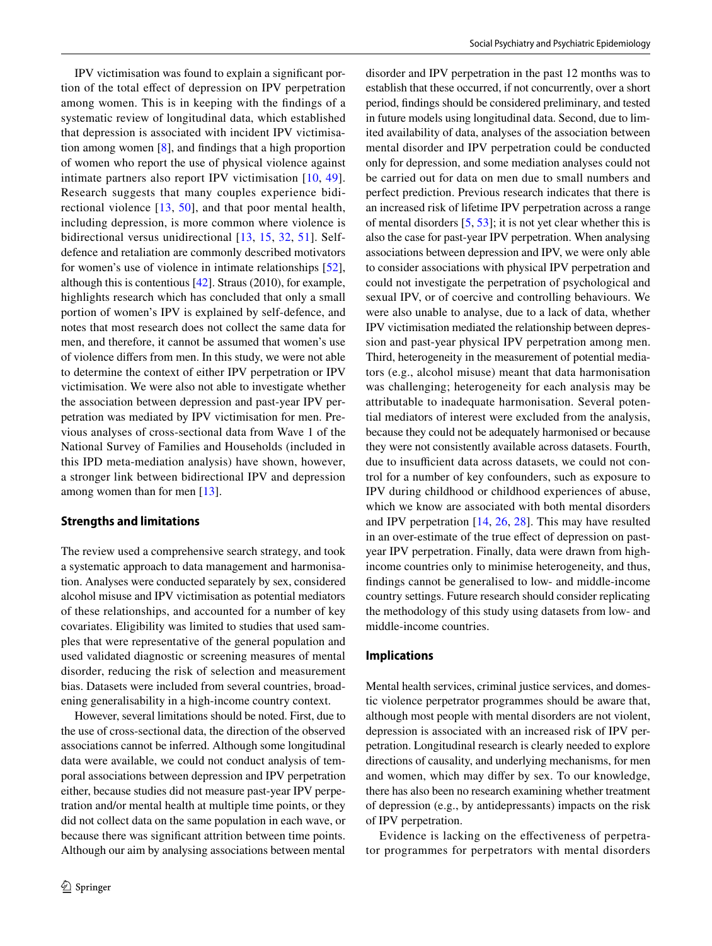IPV victimisation was found to explain a signifcant portion of the total efect of depression on IPV perpetration among women. This is in keeping with the fndings of a systematic review of longitudinal data, which established that depression is associated with incident IPV victimisation among women [[8\]](#page-11-7), and fndings that a high proportion of women who report the use of physical violence against intimate partners also report IPV victimisation [\[10,](#page-11-9) [49](#page-12-23)]. Research suggests that many couples experience bidirectional violence [[13,](#page-11-12) [50\]](#page-12-24), and that poor mental health, including depression, is more common where violence is bidirectional versus unidirectional [[13](#page-11-12), [15](#page-11-13), [32,](#page-11-27) [51\]](#page-12-25). Selfdefence and retaliation are commonly described motivators for women's use of violence in intimate relationships [\[52](#page-12-26)], although this is contentious [\[42](#page-12-16)]. Straus (2010), for example, highlights research which has concluded that only a small portion of women's IPV is explained by self-defence, and notes that most research does not collect the same data for men, and therefore, it cannot be assumed that women's use of violence difers from men. In this study, we were not able to determine the context of either IPV perpetration or IPV victimisation. We were also not able to investigate whether the association between depression and past-year IPV perpetration was mediated by IPV victimisation for men. Previous analyses of cross-sectional data from Wave 1 of the National Survey of Families and Households (included in this IPD meta-mediation analysis) have shown, however, a stronger link between bidirectional IPV and depression among women than for men [[13\]](#page-11-12).

# **Strengths and limitations**

The review used a comprehensive search strategy, and took a systematic approach to data management and harmonisation. Analyses were conducted separately by sex, considered alcohol misuse and IPV victimisation as potential mediators of these relationships, and accounted for a number of key covariates. Eligibility was limited to studies that used samples that were representative of the general population and used validated diagnostic or screening measures of mental disorder, reducing the risk of selection and measurement bias. Datasets were included from several countries, broadening generalisability in a high-income country context.

However, several limitations should be noted. First, due to the use of cross-sectional data, the direction of the observed associations cannot be inferred. Although some longitudinal data were available, we could not conduct analysis of temporal associations between depression and IPV perpetration either, because studies did not measure past-year IPV perpetration and/or mental health at multiple time points, or they did not collect data on the same population in each wave, or because there was signifcant attrition between time points. Although our aim by analysing associations between mental disorder and IPV perpetration in the past 12 months was to establish that these occurred, if not concurrently, over a short period, fndings should be considered preliminary, and tested in future models using longitudinal data. Second, due to limited availability of data, analyses of the association between mental disorder and IPV perpetration could be conducted only for depression, and some mediation analyses could not be carried out for data on men due to small numbers and perfect prediction. Previous research indicates that there is an increased risk of lifetime IPV perpetration across a range of mental disorders [\[5](#page-11-4), [53](#page-12-27)]; it is not yet clear whether this is also the case for past-year IPV perpetration. When analysing associations between depression and IPV, we were only able to consider associations with physical IPV perpetration and could not investigate the perpetration of psychological and sexual IPV, or of coercive and controlling behaviours. We were also unable to analyse, due to a lack of data, whether IPV victimisation mediated the relationship between depression and past-year physical IPV perpetration among men. Third, heterogeneity in the measurement of potential mediators (e.g., alcohol misuse) meant that data harmonisation was challenging; heterogeneity for each analysis may be attributable to inadequate harmonisation. Several potential mediators of interest were excluded from the analysis, because they could not be adequately harmonised or because they were not consistently available across datasets. Fourth, due to insufficient data across datasets, we could not control for a number of key confounders, such as exposure to IPV during childhood or childhood experiences of abuse, which we know are associated with both mental disorders and IPV perpetration [[14](#page-11-23), [26,](#page-11-28) [28](#page-11-29)]. This may have resulted in an over-estimate of the true effect of depression on pastyear IPV perpetration. Finally, data were drawn from highincome countries only to minimise heterogeneity, and thus, fndings cannot be generalised to low- and middle-income country settings. Future research should consider replicating the methodology of this study using datasets from low- and middle-income countries.

#### **Implications**

Mental health services, criminal justice services, and domestic violence perpetrator programmes should be aware that, although most people with mental disorders are not violent, depression is associated with an increased risk of IPV perpetration. Longitudinal research is clearly needed to explore directions of causality, and underlying mechanisms, for men and women, which may difer by sex. To our knowledge, there has also been no research examining whether treatment of depression (e.g., by antidepressants) impacts on the risk of IPV perpetration.

Evidence is lacking on the efectiveness of perpetrator programmes for perpetrators with mental disorders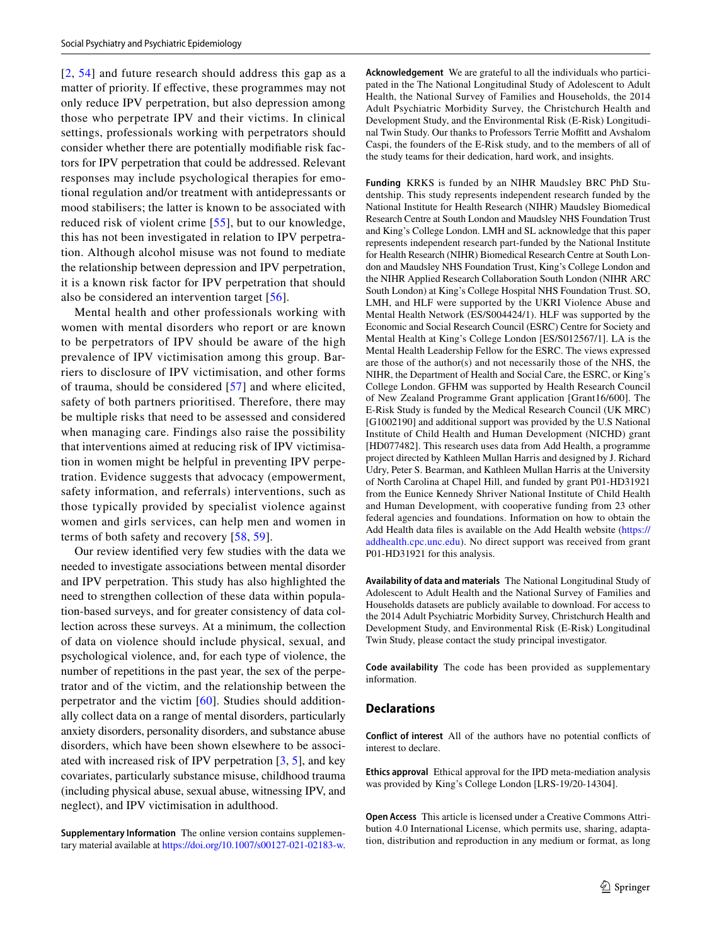[[2,](#page-11-1) [54](#page-12-28)] and future research should address this gap as a matter of priority. If efective, these programmes may not only reduce IPV perpetration, but also depression among those who perpetrate IPV and their victims. In clinical settings, professionals working with perpetrators should consider whether there are potentially modifable risk factors for IPV perpetration that could be addressed. Relevant responses may include psychological therapies for emotional regulation and/or treatment with antidepressants or mood stabilisers; the latter is known to be associated with reduced risk of violent crime [[55](#page-12-29)], but to our knowledge, this has not been investigated in relation to IPV perpetration. Although alcohol misuse was not found to mediate the relationship between depression and IPV perpetration, it is a known risk factor for IPV perpetration that should also be considered an intervention target [[56](#page-12-30)].

Mental health and other professionals working with women with mental disorders who report or are known to be perpetrators of IPV should be aware of the high prevalence of IPV victimisation among this group. Barriers to disclosure of IPV victimisation, and other forms of trauma, should be considered [\[57\]](#page-12-31) and where elicited, safety of both partners prioritised. Therefore, there may be multiple risks that need to be assessed and considered when managing care. Findings also raise the possibility that interventions aimed at reducing risk of IPV victimisation in women might be helpful in preventing IPV perpetration. Evidence suggests that advocacy (empowerment, safety information, and referrals) interventions, such as those typically provided by specialist violence against women and girls services, can help men and women in terms of both safety and recovery [\[58,](#page-12-32) [59](#page-12-33)].

Our review identifed very few studies with the data we needed to investigate associations between mental disorder and IPV perpetration. This study has also highlighted the need to strengthen collection of these data within population-based surveys, and for greater consistency of data collection across these surveys. At a minimum, the collection of data on violence should include physical, sexual, and psychological violence, and, for each type of violence, the number of repetitions in the past year, the sex of the perpetrator and of the victim, and the relationship between the perpetrator and the victim  $[60]$ . Studies should additionally collect data on a range of mental disorders, particularly anxiety disorders, personality disorders, and substance abuse disorders, which have been shown elsewhere to be associated with increased risk of IPV perpetration  $[3, 5]$  $[3, 5]$  $[3, 5]$  $[3, 5]$ , and key covariates, particularly substance misuse, childhood trauma (including physical abuse, sexual abuse, witnessing IPV, and neglect), and IPV victimisation in adulthood.

**Supplementary Information** The online version contains supplementary material available at<https://doi.org/10.1007/s00127-021-02183-w>.

**Acknowledgement** We are grateful to all the individuals who participated in the The National Longitudinal Study of Adolescent to Adult Health, the National Survey of Families and Households, the 2014 Adult Psychiatric Morbidity Survey, the Christchurch Health and Development Study, and the Environmental Risk (E-Risk) Longitudinal Twin Study. Our thanks to Professors Terrie Moffitt and Avshalom Caspi, the founders of the E-Risk study, and to the members of all of the study teams for their dedication, hard work, and insights.

**Funding** KRKS is funded by an NIHR Maudsley BRC PhD Studentship. This study represents independent research funded by the National Institute for Health Research (NIHR) Maudsley Biomedical Research Centre at South London and Maudsley NHS Foundation Trust and King's College London. LMH and SL acknowledge that this paper represents independent research part-funded by the National Institute for Health Research (NIHR) Biomedical Research Centre at South London and Maudsley NHS Foundation Trust, King's College London and the NIHR Applied Research Collaboration South London (NIHR ARC South London) at King's College Hospital NHS Foundation Trust. SO, LMH, and HLF were supported by the UKRI Violence Abuse and Mental Health Network (ES/S004424/1). HLF was supported by the Economic and Social Research Council (ESRC) Centre for Society and Mental Health at King's College London [ES/S012567/1]. LA is the Mental Health Leadership Fellow for the ESRC. The views expressed are those of the author(s) and not necessarily those of the NHS, the NIHR, the Department of Health and Social Care, the ESRC, or King's College London. GFHM was supported by Health Research Council of New Zealand Programme Grant application [Grant16/600]. The E-Risk Study is funded by the Medical Research Council (UK MRC) [G1002190] and additional support was provided by the U.S National Institute of Child Health and Human Development (NICHD) grant [HD077482]. This research uses data from Add Health, a programme project directed by Kathleen Mullan Harris and designed by J. Richard Udry, Peter S. Bearman, and Kathleen Mullan Harris at the University of North Carolina at Chapel Hill, and funded by grant P01-HD31921 from the Eunice Kennedy Shriver National Institute of Child Health and Human Development, with cooperative funding from 23 other federal agencies and foundations. Information on how to obtain the Add Health data fles is available on the Add Health website [\(https://](https://addhealth.cpc.unc.edu) [addhealth.cpc.unc.edu](https://addhealth.cpc.unc.edu)). No direct support was received from grant P01-HD31921 for this analysis.

**Availability of data and materials** The National Longitudinal Study of Adolescent to Adult Health and the National Survey of Families and Households datasets are publicly available to download. For access to the 2014 Adult Psychiatric Morbidity Survey, Christchurch Health and Development Study, and Environmental Risk (E-Risk) Longitudinal Twin Study, please contact the study principal investigator.

**Code availability** The code has been provided as supplementary information.

#### **Declarations**

**Conflict of interest** All of the authors have no potential conficts of interest to declare.

**Ethics approval** Ethical approval for the IPD meta-mediation analysis was provided by King's College London [LRS-19/20-14304].

**Open Access** This article is licensed under a Creative Commons Attribution 4.0 International License, which permits use, sharing, adaptation, distribution and reproduction in any medium or format, as long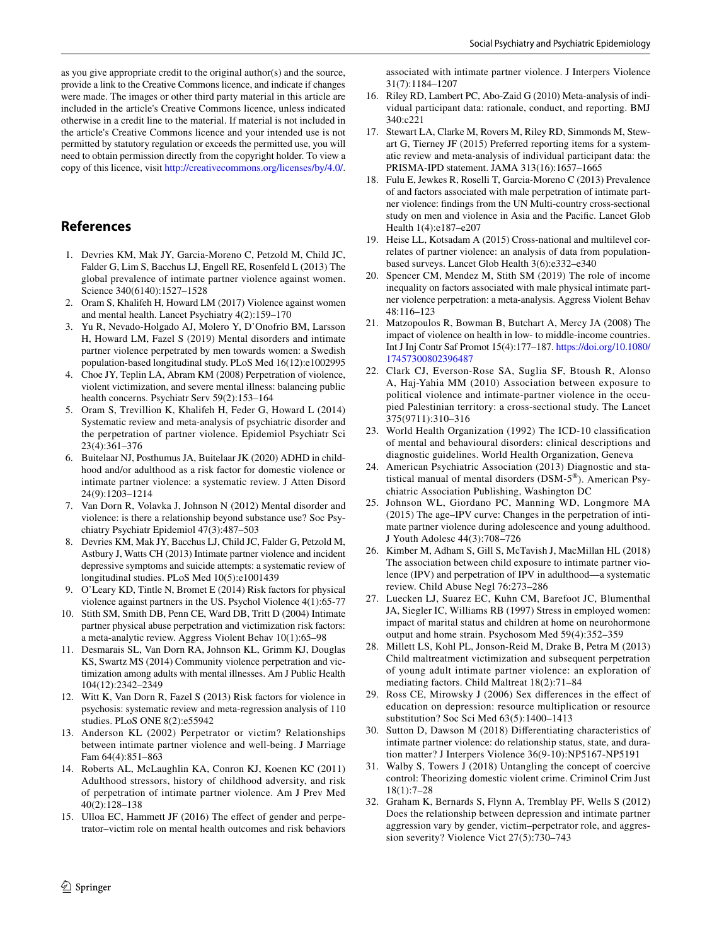as you give appropriate credit to the original author(s) and the source, provide a link to the Creative Commons licence, and indicate if changes were made. The images or other third party material in this article are included in the article's Creative Commons licence, unless indicated otherwise in a credit line to the material. If material is not included in the article's Creative Commons licence and your intended use is not permitted by statutory regulation or exceeds the permitted use, you will need to obtain permission directly from the copyright holder. To view a copy of this licence, visit <http://creativecommons.org/licenses/by/4.0/>.

# **References**

- <span id="page-11-0"></span>1. Devries KM, Mak JY, Garcia-Moreno C, Petzold M, Child JC, Falder G, Lim S, Bacchus LJ, Engell RE, Rosenfeld L (2013) The global prevalence of intimate partner violence against women. Science 340(6140):1527–1528
- <span id="page-11-1"></span>2. Oram S, Khalifeh H, Howard LM (2017) Violence against women and mental health. Lancet Psychiatry 4(2):159–170
- <span id="page-11-2"></span>3. Yu R, Nevado-Holgado AJ, Molero Y, D'Onofrio BM, Larsson H, Howard LM, Fazel S (2019) Mental disorders and intimate partner violence perpetrated by men towards women: a Swedish population-based longitudinal study. PLoS Med 16(12):e1002995
- <span id="page-11-3"></span>4. Choe JY, Teplin LA, Abram KM (2008) Perpetration of violence, violent victimization, and severe mental illness: balancing public health concerns. Psychiatr Serv 59(2):153–164
- <span id="page-11-4"></span>5. Oram S, Trevillion K, Khalifeh H, Feder G, Howard L (2014) Systematic review and meta-analysis of psychiatric disorder and the perpetration of partner violence. Epidemiol Psychiatr Sci 23(4):361–376
- <span id="page-11-5"></span>6. Buitelaar NJ, Posthumus JA, Buitelaar JK (2020) ADHD in childhood and/or adulthood as a risk factor for domestic violence or intimate partner violence: a systematic review. J Atten Disord 24(9):1203–1214
- <span id="page-11-6"></span>7. Van Dorn R, Volavka J, Johnson N (2012) Mental disorder and violence: is there a relationship beyond substance use? Soc Psychiatry Psychiatr Epidemiol 47(3):487–503
- <span id="page-11-7"></span>8. Devries KM, Mak JY, Bacchus LJ, Child JC, Falder G, Petzold M, Astbury J, Watts CH (2013) Intimate partner violence and incident depressive symptoms and suicide attempts: a systematic review of longitudinal studies. PLoS Med 10(5):e1001439
- <span id="page-11-8"></span>9. O'Leary KD, Tintle N, Bromet E (2014) Risk factors for physical violence against partners in the US. Psychol Violence 4(1):65-77
- <span id="page-11-9"></span>10. Stith SM, Smith DB, Penn CE, Ward DB, Tritt D (2004) Intimate partner physical abuse perpetration and victimization risk factors: a meta-analytic review. Aggress Violent Behav 10(1):65–98
- <span id="page-11-10"></span>11. Desmarais SL, Van Dorn RA, Johnson KL, Grimm KJ, Douglas KS, Swartz MS (2014) Community violence perpetration and victimization among adults with mental illnesses. Am J Public Health 104(12):2342–2349
- <span id="page-11-11"></span>12. Witt K, Van Dorn R, Fazel S (2013) Risk factors for violence in psychosis: systematic review and meta-regression analysis of 110 studies. PLoS ONE 8(2):e55942
- <span id="page-11-12"></span>13. Anderson KL (2002) Perpetrator or victim? Relationships between intimate partner violence and well-being. J Marriage Fam 64(4):851–863
- <span id="page-11-23"></span>14. Roberts AL, McLaughlin KA, Conron KJ, Koenen KC (2011) Adulthood stressors, history of childhood adversity, and risk of perpetration of intimate partner violence. Am J Prev Med 40(2):128–138
- <span id="page-11-13"></span>15. Ulloa EC, Hammett JF (2016) The efect of gender and perpetrator–victim role on mental health outcomes and risk behaviors

associated with intimate partner violence. J Interpers Violence 31(7):1184–1207

- <span id="page-11-14"></span>16. Riley RD, Lambert PC, Abo-Zaid G (2010) Meta-analysis of individual participant data: rationale, conduct, and reporting. BMJ 340:c221
- <span id="page-11-15"></span>17. Stewart LA, Clarke M, Rovers M, Riley RD, Simmonds M, Stewart G, Tierney JF (2015) Preferred reporting items for a systematic review and meta-analysis of individual participant data: the PRISMA-IPD statement. JAMA 313(16):1657–1665
- <span id="page-11-16"></span>18. Fulu E, Jewkes R, Roselli T, Garcia-Moreno C (2013) Prevalence of and factors associated with male perpetration of intimate partner violence: fndings from the UN Multi-country cross-sectional study on men and violence in Asia and the Pacifc. Lancet Glob Health 1(4):e187–e207
- <span id="page-11-17"></span>19. Heise LL, Kotsadam A (2015) Cross-national and multilevel correlates of partner violence: an analysis of data from populationbased surveys. Lancet Glob Health 3(6):e332–e340
- <span id="page-11-18"></span>20. Spencer CM, Mendez M, Stith SM (2019) The role of income inequality on factors associated with male physical intimate partner violence perpetration: a meta-analysis. Aggress Violent Behav 48:116–123
- <span id="page-11-19"></span>21. Matzopoulos R, Bowman B, Butchart A, Mercy JA (2008) The impact of violence on health in low- to middle-income countries. Int J Inj Contr Saf Promot 15(4):177–187. [https://doi.org/10.1080/](https://doi.org/10.1080/17457300802396487) [17457300802396487](https://doi.org/10.1080/17457300802396487)
- <span id="page-11-20"></span>22. Clark CJ, Everson-Rose SA, Suglia SF, Btoush R, Alonso A, Haj-Yahia MM (2010) Association between exposure to political violence and intimate-partner violence in the occupied Palestinian territory: a cross-sectional study. The Lancet 375(9711):310–316
- <span id="page-11-21"></span>23. World Health Organization (1992) The ICD-10 classifcation of mental and behavioural disorders: clinical descriptions and diagnostic guidelines. World Health Organization, Geneva
- <span id="page-11-22"></span>24. American Psychiatric Association (2013) Diagnostic and statistical manual of mental disorders (DSM-5®). American Psychiatric Association Publishing, Washington DC
- <span id="page-11-24"></span>25. Johnson WL, Giordano PC, Manning WD, Longmore MA (2015) The age–IPV curve: Changes in the perpetration of intimate partner violence during adolescence and young adulthood. J Youth Adolesc 44(3):708–726
- <span id="page-11-28"></span>26. Kimber M, Adham S, Gill S, McTavish J, MacMillan HL (2018) The association between child exposure to intimate partner violence (IPV) and perpetration of IPV in adulthood—a systematic review. Child Abuse Negl 76:273–286
- 27. Luecken LJ, Suarez EC, Kuhn CM, Barefoot JC, Blumenthal JA, Siegler IC, Williams RB (1997) Stress in employed women: impact of marital status and children at home on neurohormone output and home strain. Psychosom Med 59(4):352–359
- <span id="page-11-29"></span>28. Millett LS, Kohl PL, Jonson-Reid M, Drake B, Petra M (2013) Child maltreatment victimization and subsequent perpetration of young adult intimate partner violence: an exploration of mediating factors. Child Maltreat 18(2):71–84
- 29. Ross CE, Mirowsky J (2006) Sex diferences in the efect of education on depression: resource multiplication or resource substitution? Soc Sci Med 63(5):1400–1413
- <span id="page-11-25"></span>30. Sutton D, Dawson M (2018) Diferentiating characteristics of intimate partner violence: do relationship status, state, and duration matter? J Interpers Violence 36(9-10):NP5167-NP5191
- <span id="page-11-26"></span>31. Walby S, Towers J (2018) Untangling the concept of coercive control: Theorizing domestic violent crime. Criminol Crim Just 18(1):7–28
- <span id="page-11-27"></span>32. Graham K, Bernards S, Flynn A, Tremblay PF, Wells S (2012) Does the relationship between depression and intimate partner aggression vary by gender, victim–perpetrator role, and aggression severity? Violence Vict 27(5):730–743